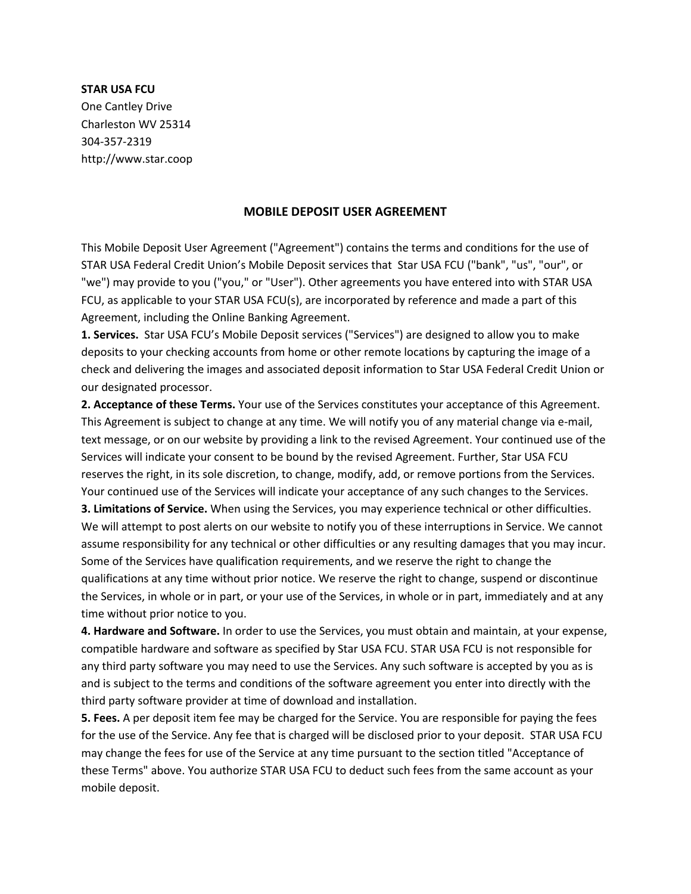## **STAR USA FCU**

One Cantley Drive Charleston WV 25314 304-357-2319 http://www.star.coop

## **MOBILE DEPOSIT USER AGREEMENT**

This Mobile Deposit User Agreement ("Agreement") contains the terms and conditions for the use of STAR USA Federal Credit Union's Mobile Deposit services that Star USA FCU ("bank", "us", "our", or "we") may provide to you ("you," or "User"). Other agreements you have entered into with STAR USA FCU, as applicable to your STAR USA FCU(s), are incorporated by reference and made a part of this Agreement, including the Online Banking Agreement.

**1. Services.** Star USA FCU's Mobile Deposit services ("Services") are designed to allow you to make deposits to your checking accounts from home or other remote locations by capturing the image of a check and delivering the images and associated deposit information to Star USA Federal Credit Union or our designated processor.

**2. Acceptance of these Terms.** Your use of the Services constitutes your acceptance of this Agreement. This Agreement is subject to change at any time. We will notify you of any material change via e-mail, text message, or on our website by providing a link to the revised Agreement. Your continued use of the Services will indicate your consent to be bound by the revised Agreement. Further, Star USA FCU reserves the right, in its sole discretion, to change, modify, add, or remove portions from the Services. Your continued use of the Services will indicate your acceptance of any such changes to the Services.

**3. Limitations of Service.** When using the Services, you may experience technical or other difficulties. We will attempt to post alerts on our website to notify you of these interruptions in Service. We cannot assume responsibility for any technical or other difficulties or any resulting damages that you may incur. Some of the Services have qualification requirements, and we reserve the right to change the qualifications at any time without prior notice. We reserve the right to change, suspend or discontinue the Services, in whole or in part, or your use of the Services, in whole or in part, immediately and at any time without prior notice to you.

**4. Hardware and Software.** In order to use the Services, you must obtain and maintain, at your expense, compatible hardware and software as specified by Star USA FCU. STAR USA FCU is not responsible for any third party software you may need to use the Services. Any such software is accepted by you as is and is subject to the terms and conditions of the software agreement you enter into directly with the third party software provider at time of download and installation.

**5. Fees.** A per deposit item fee may be charged for the Service. You are responsible for paying the fees for the use of the Service. Any fee that is charged will be disclosed prior to your deposit. STAR USA FCU may change the fees for use of the Service at any time pursuant to the section titled "Acceptance of these Terms" above. You authorize STAR USA FCU to deduct such fees from the same account as your mobile deposit.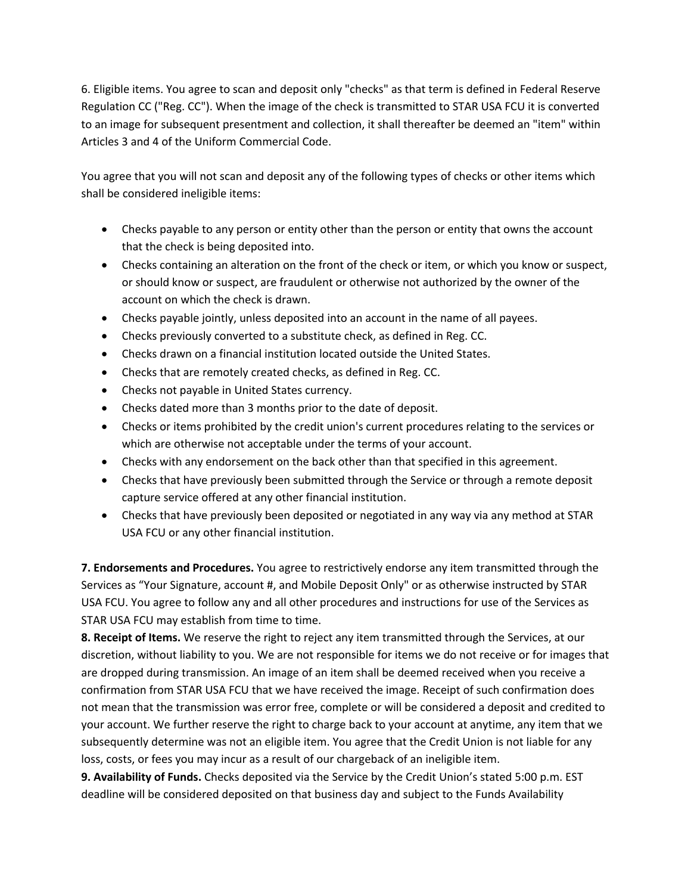6. Eligible items. You agree to scan and deposit only "checks" as that term is defined in Federal Reserve Regulation CC ("Reg. CC"). When the image of the check is transmitted to STAR USA FCU it is converted to an image for subsequent presentment and collection, it shall thereafter be deemed an "item" within Articles 3 and 4 of the Uniform Commercial Code.

You agree that you will not scan and deposit any of the following types of checks or other items which shall be considered ineligible items:

- Checks payable to any person or entity other than the person or entity that owns the account that the check is being deposited into.
- Checks containing an alteration on the front of the check or item, or which you know or suspect, or should know or suspect, are fraudulent or otherwise not authorized by the owner of the account on which the check is drawn.
- Checks payable jointly, unless deposited into an account in the name of all payees.
- Checks previously converted to a substitute check, as defined in Reg. CC.
- Checks drawn on a financial institution located outside the United States.
- Checks that are remotely created checks, as defined in Reg. CC.
- Checks not payable in United States currency.
- Checks dated more than 3 months prior to the date of deposit.
- Checks or items prohibited by the credit union's current procedures relating to the services or which are otherwise not acceptable under the terms of your account.
- Checks with any endorsement on the back other than that specified in this agreement.
- Checks that have previously been submitted through the Service or through a remote deposit capture service offered at any other financial institution.
- Checks that have previously been deposited or negotiated in any way via any method at STAR USA FCU or any other financial institution.

**7. Endorsements and Procedures.** You agree to restrictively endorse any item transmitted through the Services as "Your Signature, account #, and Mobile Deposit Only" or as otherwise instructed by STAR USA FCU. You agree to follow any and all other procedures and instructions for use of the Services as STAR USA FCU may establish from time to time.

**8. Receipt of Items.** We reserve the right to reject any item transmitted through the Services, at our discretion, without liability to you. We are not responsible for items we do not receive or for images that are dropped during transmission. An image of an item shall be deemed received when you receive a confirmation from STAR USA FCU that we have received the image. Receipt of such confirmation does not mean that the transmission was error free, complete or will be considered a deposit and credited to your account. We further reserve the right to charge back to your account at anytime, any item that we subsequently determine was not an eligible item. You agree that the Credit Union is not liable for any loss, costs, or fees you may incur as a result of our chargeback of an ineligible item.

**9. Availability of Funds.** Checks deposited via the Service by the Credit Union's stated 5:00 p.m. EST deadline will be considered deposited on that business day and subject to the Funds Availability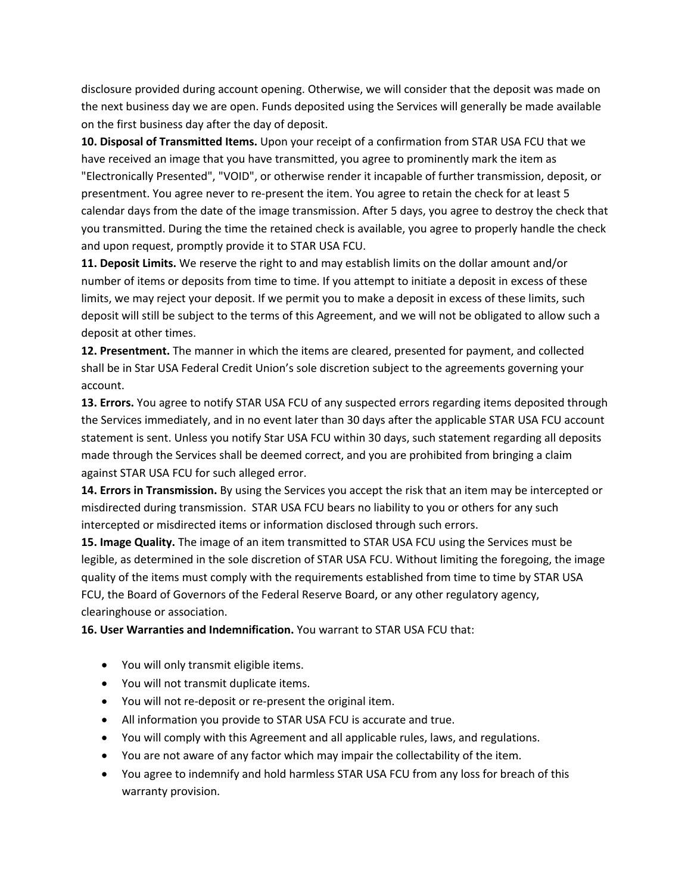disclosure provided during account opening. Otherwise, we will consider that the deposit was made on the next business day we are open. Funds deposited using the Services will generally be made available on the first business day after the day of deposit.

**10. Disposal of Transmitted Items.** Upon your receipt of a confirmation from STAR USA FCU that we have received an image that you have transmitted, you agree to prominently mark the item as "Electronically Presented", "VOID", or otherwise render it incapable of further transmission, deposit, or presentment. You agree never to re-present the item. You agree to retain the check for at least 5 calendar days from the date of the image transmission. After 5 days, you agree to destroy the check that you transmitted. During the time the retained check is available, you agree to properly handle the check and upon request, promptly provide it to STAR USA FCU.

**11. Deposit Limits.** We reserve the right to and may establish limits on the dollar amount and/or number of items or deposits from time to time. If you attempt to initiate a deposit in excess of these limits, we may reject your deposit. If we permit you to make a deposit in excess of these limits, such deposit will still be subject to the terms of this Agreement, and we will not be obligated to allow such a deposit at other times.

**12. Presentment.** The manner in which the items are cleared, presented for payment, and collected shall be in Star USA Federal Credit Union's sole discretion subject to the agreements governing your account.

**13. Errors.** You agree to notify STAR USA FCU of any suspected errors regarding items deposited through the Services immediately, and in no event later than 30 days after the applicable STAR USA FCU account statement is sent. Unless you notify Star USA FCU within 30 days, such statement regarding all deposits made through the Services shall be deemed correct, and you are prohibited from bringing a claim against STAR USA FCU for such alleged error.

**14. Errors in Transmission.** By using the Services you accept the risk that an item may be intercepted or misdirected during transmission. STAR USA FCU bears no liability to you or others for any such intercepted or misdirected items or information disclosed through such errors.

**15. Image Quality.** The image of an item transmitted to STAR USA FCU using the Services must be legible, as determined in the sole discretion of STAR USA FCU. Without limiting the foregoing, the image quality of the items must comply with the requirements established from time to time by STAR USA FCU, the Board of Governors of the Federal Reserve Board, or any other regulatory agency, clearinghouse or association.

## **16. User Warranties and Indemnification.** You warrant to STAR USA FCU that:

- You will only transmit eligible items.
- You will not transmit duplicate items.
- You will not re-deposit or re-present the original item.
- All information you provide to STAR USA FCU is accurate and true.
- You will comply with this Agreement and all applicable rules, laws, and regulations.
- You are not aware of any factor which may impair the collectability of the item.
- You agree to indemnify and hold harmless STAR USA FCU from any loss for breach of this warranty provision.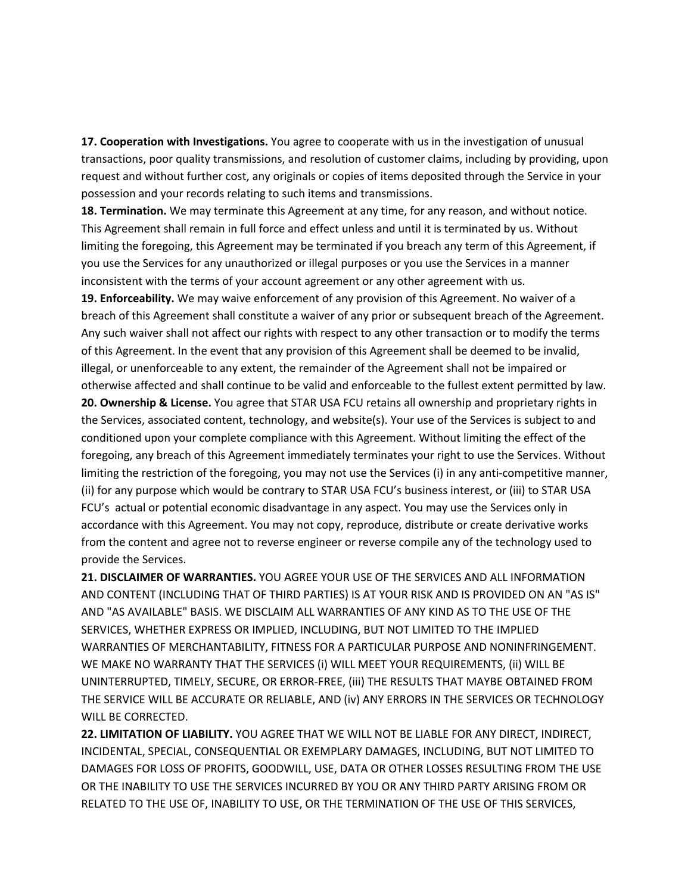**17. Cooperation with Investigations.** You agree to cooperate with us in the investigation of unusual transactions, poor quality transmissions, and resolution of customer claims, including by providing, upon request and without further cost, any originals or copies of items deposited through the Service in your possession and your records relating to such items and transmissions.

**18. Termination.** We may terminate this Agreement at any time, for any reason, and without notice. This Agreement shall remain in full force and effect unless and until it is terminated by us. Without limiting the foregoing, this Agreement may be terminated if you breach any term of this Agreement, if you use the Services for any unauthorized or illegal purposes or you use the Services in a manner inconsistent with the terms of your account agreement or any other agreement with us.

**19. Enforceability.** We may waive enforcement of any provision of this Agreement. No waiver of a breach of this Agreement shall constitute a waiver of any prior or subsequent breach of the Agreement. Any such waiver shall not affect our rights with respect to any other transaction or to modify the terms of this Agreement. In the event that any provision of this Agreement shall be deemed to be invalid, illegal, or unenforceable to any extent, the remainder of the Agreement shall not be impaired or otherwise affected and shall continue to be valid and enforceable to the fullest extent permitted by law.

**20. Ownership & License.** You agree that STAR USA FCU retains all ownership and proprietary rights in the Services, associated content, technology, and website(s). Your use of the Services is subject to and conditioned upon your complete compliance with this Agreement. Without limiting the effect of the foregoing, any breach of this Agreement immediately terminates your right to use the Services. Without limiting the restriction of the foregoing, you may not use the Services (i) in any anti-competitive manner, (ii) for any purpose which would be contrary to STAR USA FCU's business interest, or (iii) to STAR USA FCU's actual or potential economic disadvantage in any aspect. You may use the Services only in accordance with this Agreement. You may not copy, reproduce, distribute or create derivative works from the content and agree not to reverse engineer or reverse compile any of the technology used to provide the Services.

**21. DISCLAIMER OF WARRANTIES.** YOU AGREE YOUR USE OF THE SERVICES AND ALL INFORMATION AND CONTENT (INCLUDING THAT OF THIRD PARTIES) IS AT YOUR RISK AND IS PROVIDED ON AN "AS IS" AND "AS AVAILABLE" BASIS. WE DISCLAIM ALL WARRANTIES OF ANY KIND AS TO THE USE OF THE SERVICES, WHETHER EXPRESS OR IMPLIED, INCLUDING, BUT NOT LIMITED TO THE IMPLIED WARRANTIES OF MERCHANTABILITY, FITNESS FOR A PARTICULAR PURPOSE AND NONINFRINGEMENT. WE MAKE NO WARRANTY THAT THE SERVICES (i) WILL MEET YOUR REQUIREMENTS, (ii) WILL BE UNINTERRUPTED, TIMELY, SECURE, OR ERROR-FREE, (iii) THE RESULTS THAT MAYBE OBTAINED FROM THE SERVICE WILL BE ACCURATE OR RELIABLE, AND (iv) ANY ERRORS IN THE SERVICES OR TECHNOLOGY WILL BE CORRECTED.

**22. LIMITATION OF LIABILITY.** YOU AGREE THAT WE WILL NOT BE LIABLE FOR ANY DIRECT, INDIRECT, INCIDENTAL, SPECIAL, CONSEQUENTIAL OR EXEMPLARY DAMAGES, INCLUDING, BUT NOT LIMITED TO DAMAGES FOR LOSS OF PROFITS, GOODWILL, USE, DATA OR OTHER LOSSES RESULTING FROM THE USE OR THE INABILITY TO USE THE SERVICES INCURRED BY YOU OR ANY THIRD PARTY ARISING FROM OR RELATED TO THE USE OF, INABILITY TO USE, OR THE TERMINATION OF THE USE OF THIS SERVICES,